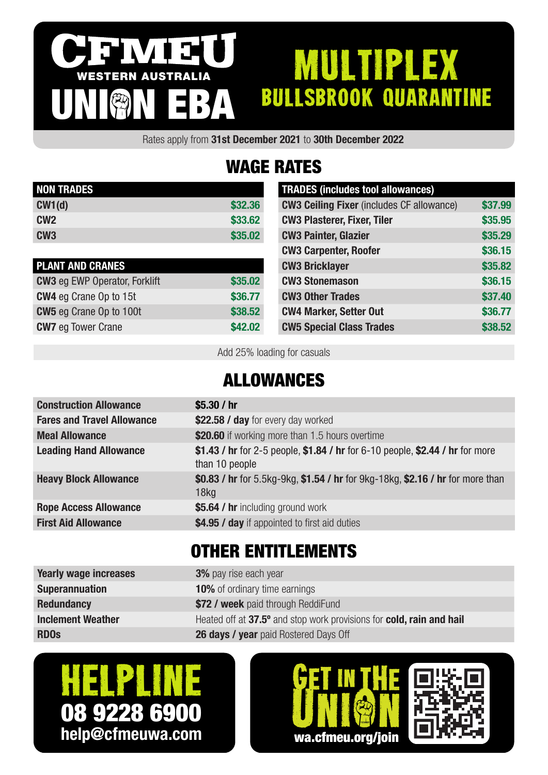#### IVI 3 MULTIPLEX WESTERN AUSTRALIA bullsbrook quarantine UNION EBA

Rates apply from 31st December 2021 to 30th December 2022

# WAGE RATES

| <b>NON TRADES</b> |         |
|-------------------|---------|
| CW1(d)            | \$32.36 |
| CW <sub>2</sub>   | \$33,62 |
| CW <sub>3</sub>   | \$35,02 |

| <b>PLANT AND CRANES</b>              |         |
|--------------------------------------|---------|
| <b>CW3</b> eg EWP Operator, Forklift | \$35.02 |
| <b>CW4</b> eg Crane Op to 15t        | \$36,77 |
| <b>CW5</b> eg Crane Op to 100t       | \$38.52 |
| <b>CW7</b> eg Tower Crane            | \$42.02 |

| <b>TRADES (includes tool allowances)</b>         |         |
|--------------------------------------------------|---------|
| <b>CW3 Ceiling Fixer (includes CF allowance)</b> | \$37.99 |
| <b>CW3 Plasterer, Fixer, Tiler</b>               | \$35.95 |
| <b>CW3 Painter, Glazier</b>                      | \$35.29 |
| <b>CW3 Carpenter, Roofer</b>                     | \$36.15 |
| <b>CW3 Bricklayer</b>                            | \$35.82 |
| <b>CW3 Stonemason</b>                            | \$36.15 |
| <b>CW3 Other Trades</b>                          | \$37.40 |
| <b>CW4 Marker, Setter Out</b>                    | \$36.77 |
| <b>CW5 Special Class Trades</b>                  | \$38,52 |

Add 25% loading for casuals

### ALLOWANCES

| <b>Construction Allowance</b>     | \$5.30 $/$ hr                                                                                      |
|-----------------------------------|----------------------------------------------------------------------------------------------------|
| <b>Fares and Travel Allowance</b> | \$22.58 / day for every day worked                                                                 |
| <b>Meal Allowance</b>             | \$20.60 if working more than 1.5 hours overtime                                                    |
| <b>Leading Hand Allowance</b>     | \$1.43 / hr for 2-5 people, \$1.84 / hr for 6-10 people, \$2.44 / hr for more<br>than 10 people    |
| <b>Heavy Block Allowance</b>      | \$0.83 / hr for 5.5kg-9kg, \$1.54 / hr for 9kg-18kg, \$2.16 / hr for more than<br>18 <sub>kq</sub> |
| <b>Rope Access Allowance</b>      | \$5.64 / hr including ground work                                                                  |
| <b>First Aid Allowance</b>        | \$4.95 / day if appointed to first aid duties                                                      |
|                                   |                                                                                                    |

### OTHER ENTITLEMENTS

| <b>Yearly wage increases</b> | <b>3%</b> pay rise each year                                         |
|------------------------------|----------------------------------------------------------------------|
| <b>Superannuation</b>        | <b>10%</b> of ordinary time earnings                                 |
| <b>Redundancy</b>            | \$72 / week paid through ReddiFund                                   |
| <b>Inclement Weather</b>     | Heated off at 37.5° and stop work provisions for cold, rain and hail |
| <b>RDO<sub>s</sub></b>       | <b>26 days / year</b> paid Rostered Days Off                         |
|                              |                                                                      |